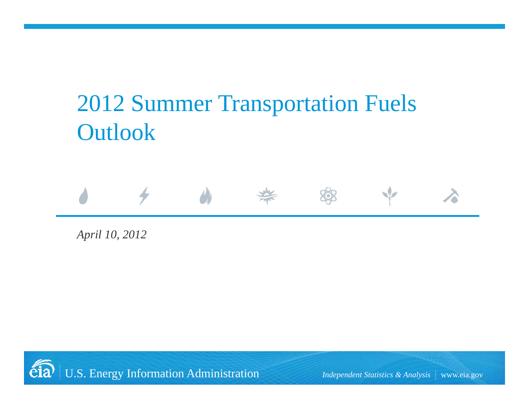# 2012 Summer Transportation Fuels Outlook



*April 10, 2012*

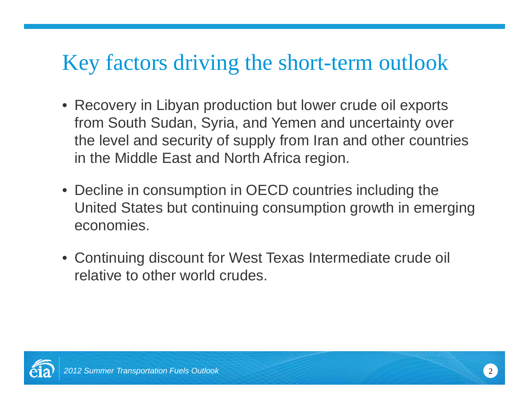# Key factors driving the short-term outlook

- Recovery in Libyan production but lower crude oil exports from South Sudan, Syria, and Yemen and uncertainty over the level and security of supply from Iran and other countries in the Middle East and North Africa region.
- Decline in consumption in OECD countries including the United States but continuing consumption growth in emerging economies.
- Continuing discount for West Texas Intermediate crude oil relative to other world crudes.

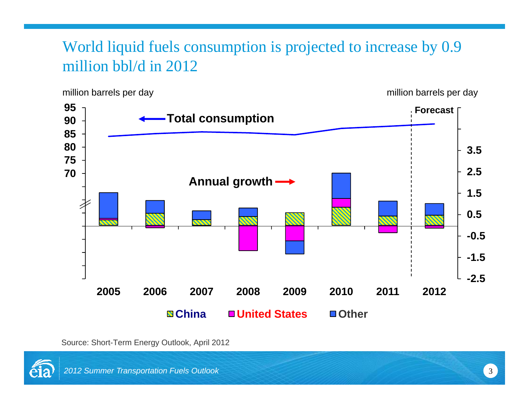### World liquid fuels consumption is projected to increase by 0.9 million bbl/d in 2012

million barrels per day and the state of the million barrels per day million barrels per day



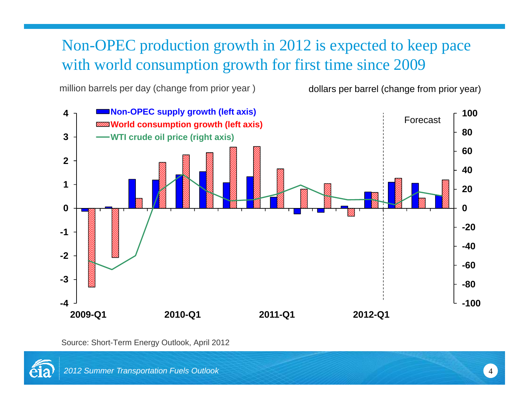#### Non-OPEC production growth in 2012 is expected to keep pace with world consumption growth for first time since 2009

million barrels per day (change from prior year ) dollars per barrel (change from prior year)



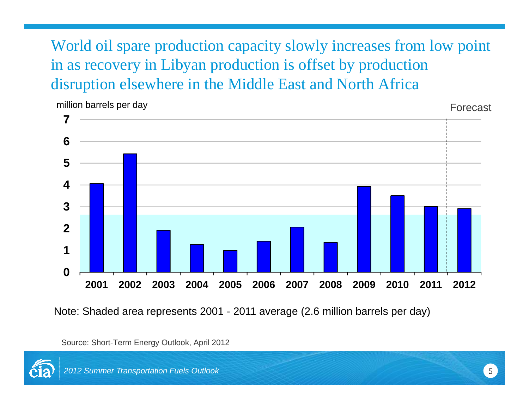World oil spare production capacity slowly increases from low point in as recovery in Libyan production is offset by production disruption elsewhere in the Middle East and North Africa



Note: Shaded area represents 2001 - 2011 average (2.6 million barrels per day)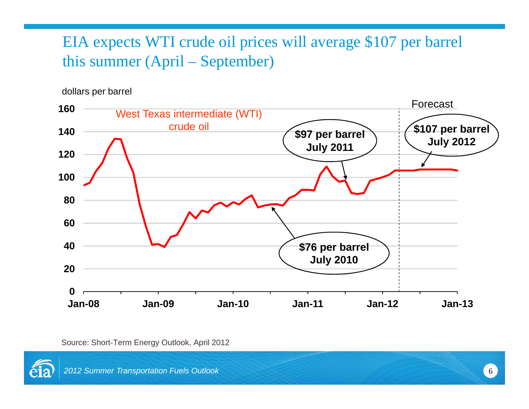#### EIA expects WTI crude oil prices will average \$107 per barrel this summer (April – September)

dollars per barrel



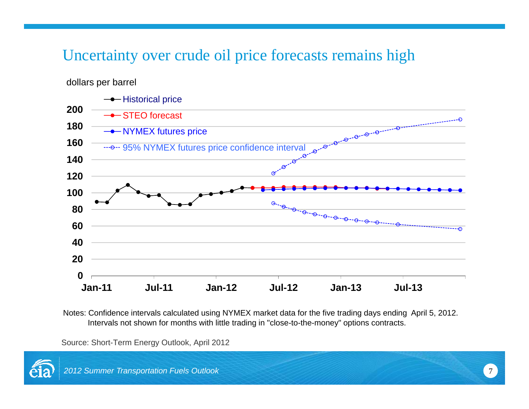#### Uncertainty over crude oil price forecasts remains high

dollars per barrel



Notes: Confidence intervals calculated using NYMEX market data for the five trading days ending April 5, 2012. Intervals not shown for months with little trading in "close-to-the-money" options contracts.

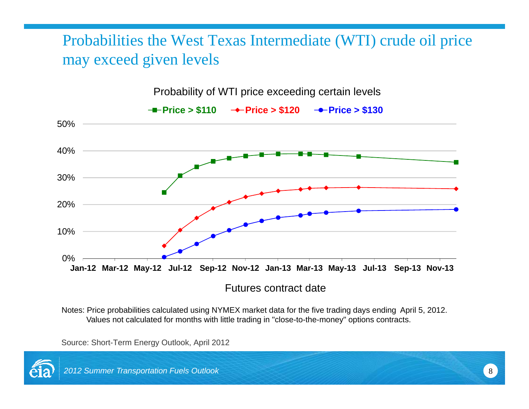### Probabilities the West Texas Intermediate (WTI) crude oil price may exceed given levels



Probability of WTI price exceeding certain levels

Notes: Price probabilities calculated using NYMEX market data for the five trading days ending April 5, 2012. Values not calculated for months with little trading in "close-to-the-money" options contracts.

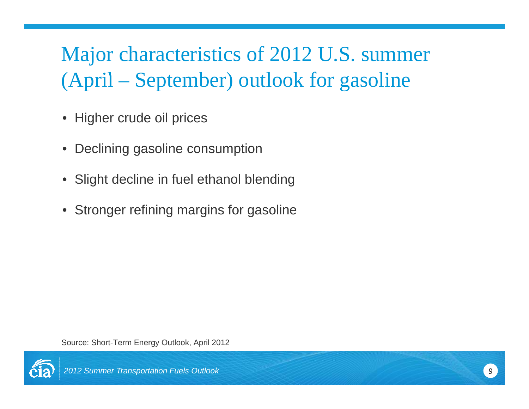#### Major characteristics of 2012 U.S. summer (April – September) outlook for gasoline

- Higher crude oil prices
- Declining gasoline consumption
- Slight decline in fuel ethanol blending
- Stronger refining margins for gasoline

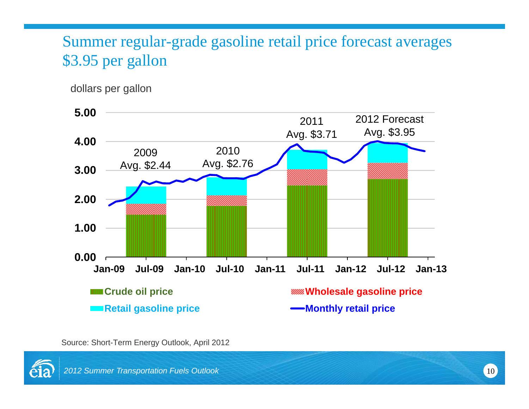### Summer regular-grade gasoline retail price forecast averages \$3.95 per gallon

dollars per gallon



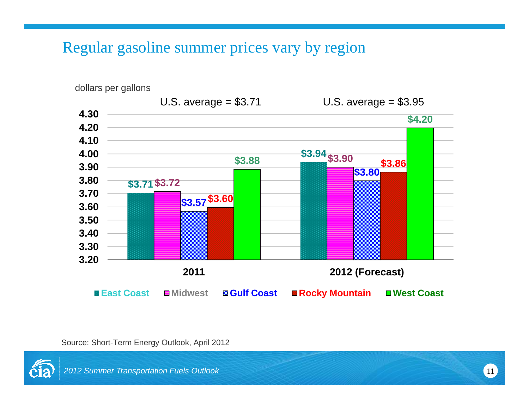Regular gasoline summer prices vary by region



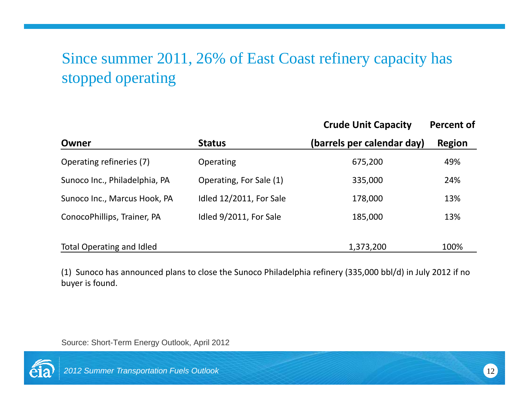## Since summer 2011, 26% of East Coast refinery capacity has stopped operating

|                               | <b>Status</b>           | <b>Crude Unit Capacity</b><br>(barrels per calendar day) | <b>Percent of</b><br><b>Region</b> |
|-------------------------------|-------------------------|----------------------------------------------------------|------------------------------------|
| Owner                         |                         |                                                          |                                    |
| Operating refineries (7)      | Operating               | 675,200                                                  | 49%                                |
| Sunoco Inc., Philadelphia, PA | Operating, For Sale (1) | 335,000                                                  | 24%                                |
| Sunoco Inc., Marcus Hook, PA  | Idled 12/2011, For Sale | 178,000                                                  | 13%                                |
| ConocoPhillips, Trainer, PA   | Idled 9/2011, For Sale  | 185,000                                                  | 13%                                |
|                               |                         |                                                          |                                    |
| Total Operating and Idled     |                         | 1,373,200                                                | 100%                               |

(1) Sunoco has announced plans to close the Sunoco Philadelphia refinery (335,000 bbl/d) in July 2012 if no buyer is found.

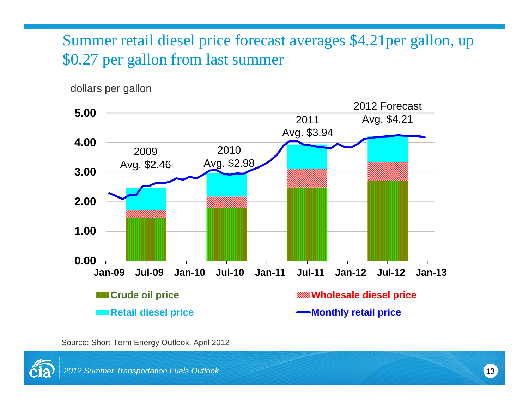### Summer retail diesel price forecast averages \$4.21per gallon, up \$0.27 per gallon from last summer

dollars per gallon



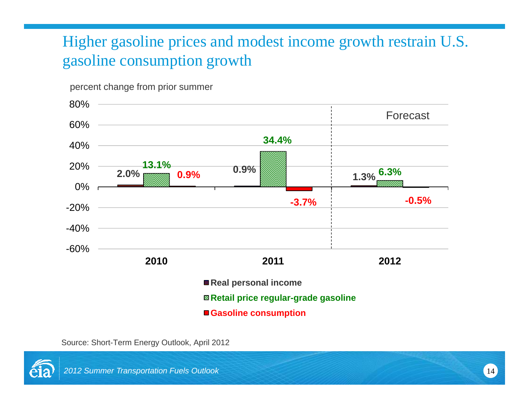# Higher gasoline prices and modest income growth restrain U.S. gasoline consumption growth

percent change from prior summer



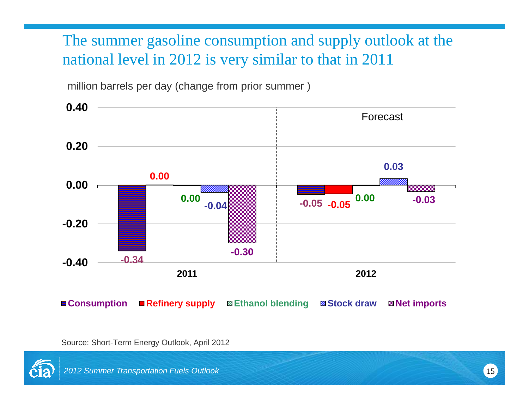### The summer gasoline consumption and supply outlook at the national level in 2012 is very similar to that in 2011

million barrels per day (change from prior summer )



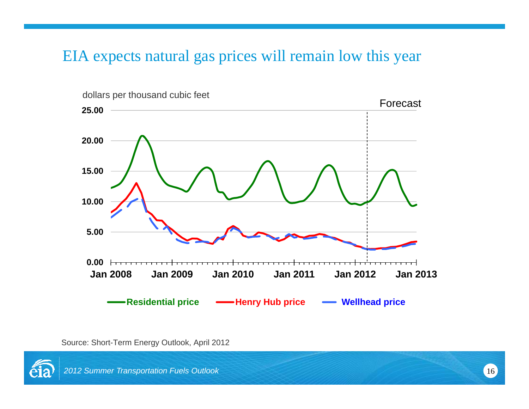#### EIA expects natural gas prices will remain low this year



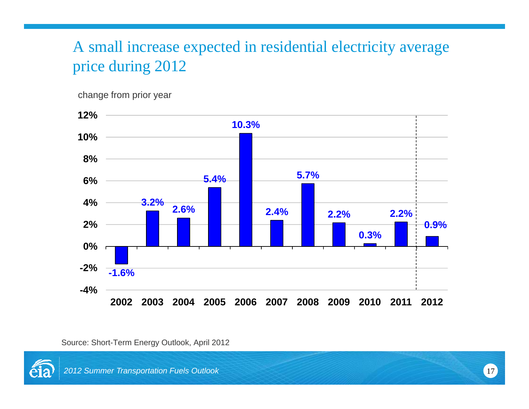### A small increase expected in residential electricity average price during 2012

change from prior year



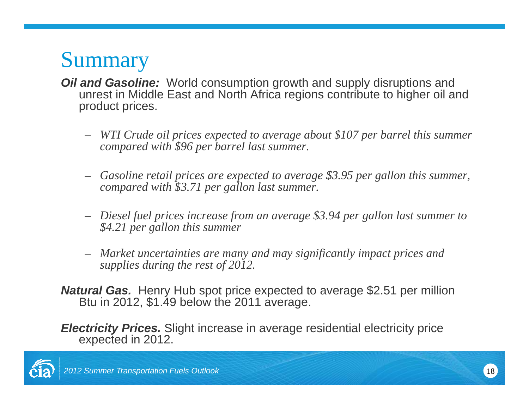# **Summary**

- *Oil and Gasoline:* World consumption growth and supply disruptions and unrest in Middle East and North Africa regions contribute to higher oil and product prices.
	- *WTI Crude oil prices expected to average about \$107 per barrel this summer compared with \$96 per barrel last summer.*
	- Gasoline retail prices are expected to average \$3.95 per gallon this summer, *compared with \$3.71 per gallon last summer.*
	- *Diesel fuel prices increase from an average \$3.94 per gallon last summer to \$4 21 per gallon this summer \$4.21*
	- *Market uncertainties are many and may significantly impact prices and supplies during the rest of 2012.*
- *Natural Gas.* Henry Hub spot price expected to average \$2.51 per million Btu in 2012, \$1.49 below the 2011 average.

**Electricity Prices.** Slight increase in average residential electricity price expected in 2012.